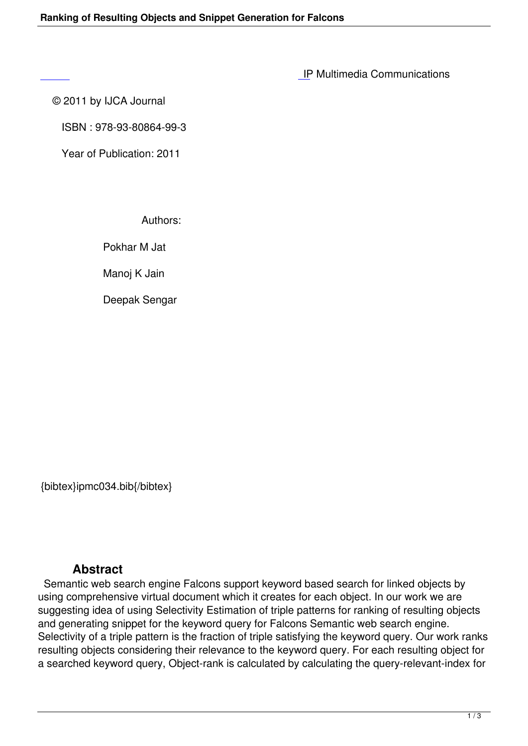IP Multimedia Communications

© 2011 by IJCA Journal

 [IS](http://research.ijcaonline.org/ipmc/number1/ipmc034.pdf)BN : 978-93-80864-99-3

Year of Publication: 2011

Authors:

Pokhar M Jat

Manoj K Jain

Deepak Sengar

{bibtex}ipmc034.bib{/bibtex}

## **Abstract**

 Semantic web search engine Falcons support keyword based search for linked objects by using comprehensive virtual document which it creates for each object. In our work we are suggesting idea of using Selectivity Estimation of triple patterns for ranking of resulting objects and generating snippet for the keyword query for Falcons Semantic web search engine. Selectivity of a triple pattern is the fraction of triple satisfying the keyword query. Our work ranks resulting objects considering their relevance to the keyword query. For each resulting object for a searched keyword query, Object-rank is calculated by calculating the query-relevant-index for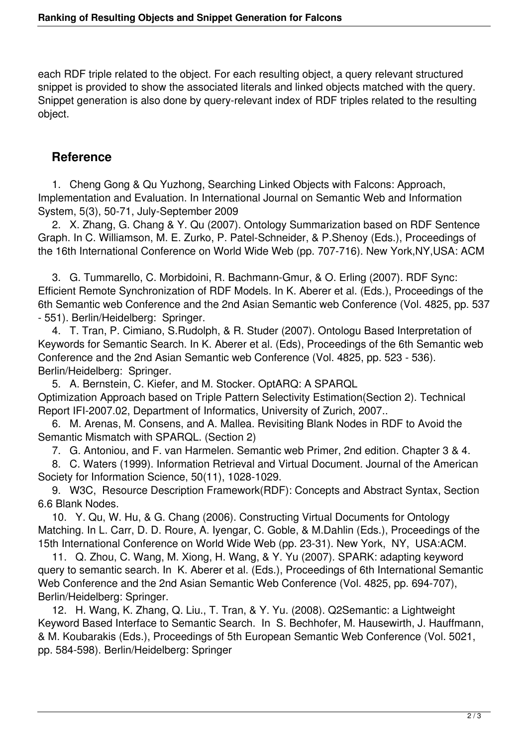each RDF triple related to the object. For each resulting object, a query relevant structured snippet is provided to show the associated literals and linked objects matched with the query. Snippet generation is also done by query-relevant index of RDF triples related to the resulting object.

## **Reference**

 1. Cheng Gong & Qu Yuzhong, Searching Linked Objects with Falcons: Approach, Implementation and Evaluation. In International Journal on Semantic Web and Information System, 5(3), 50-71, July-September 2009

 2. X. Zhang, G. Chang & Y. Qu (2007). Ontology Summarization based on RDF Sentence Graph. In C. Williamson, M. E. Zurko, P. Patel-Schneider, & P.Shenoy (Eds.), Proceedings of the 16th International Conference on World Wide Web (pp. 707-716). New York,NY,USA: ACM

 3. G. Tummarello, C. Morbidoini, R. Bachmann-Gmur, & O. Erling (2007). RDF Sync: Efficient Remote Synchronization of RDF Models. In K. Aberer et al. (Eds.), Proceedings of the 6th Semantic web Conference and the 2nd Asian Semantic web Conference (Vol. 4825, pp. 537 - 551). Berlin/Heidelberg: Springer.

 4. T. Tran, P. Cimiano, S.Rudolph, & R. Studer (2007). Ontologu Based Interpretation of Keywords for Semantic Search. In K. Aberer et al. (Eds), Proceedings of the 6th Semantic web Conference and the 2nd Asian Semantic web Conference (Vol. 4825, pp. 523 - 536). Berlin/Heidelberg: Springer.

 5. A. Bernstein, C. Kiefer, and M. Stocker. OptARQ: A SPARQL Optimization Approach based on Triple Pattern Selectivity Estimation(Section 2). Technical Report IFI-2007.02, Department of Informatics, University of Zurich, 2007..

 6. M. Arenas, M. Consens, and A. Mallea. Revisiting Blank Nodes in RDF to Avoid the Semantic Mismatch with SPARQL. (Section 2)

7. G. Antoniou, and F. van Harmelen. Semantic web Primer, 2nd edition. Chapter 3 & 4.

 8. C. Waters (1999). Information Retrieval and Virtual Document. Journal of the American Society for Information Science, 50(11), 1028-1029.

 9. W3C, Resource Description Framework(RDF): Concepts and Abstract Syntax, Section 6.6 Blank Nodes.

 10. Y. Qu, W. Hu, & G. Chang (2006). Constructing Virtual Documents for Ontology Matching. In L. Carr, D. D. Roure, A. Iyengar, C. Goble, & M.Dahlin (Eds.), Proceedings of the 15th International Conference on World Wide Web (pp. 23-31). New York, NY, USA:ACM.

 11. Q. Zhou, C. Wang, M. Xiong, H. Wang, & Y. Yu (2007). SPARK: adapting keyword query to semantic search. In K. Aberer et al. (Eds.), Proceedings of 6th International Semantic Web Conference and the 2nd Asian Semantic Web Conference (Vol. 4825, pp. 694-707), Berlin/Heidelberg: Springer.

 12. H. Wang, K. Zhang, Q. Liu., T. Tran, & Y. Yu. (2008). Q2Semantic: a Lightweight Keyword Based Interface to Semantic Search. In S. Bechhofer, M. Hausewirth, J. Hauffmann, & M. Koubarakis (Eds.), Proceedings of 5th European Semantic Web Conference (Vol. 5021, pp. 584-598). Berlin/Heidelberg: Springer